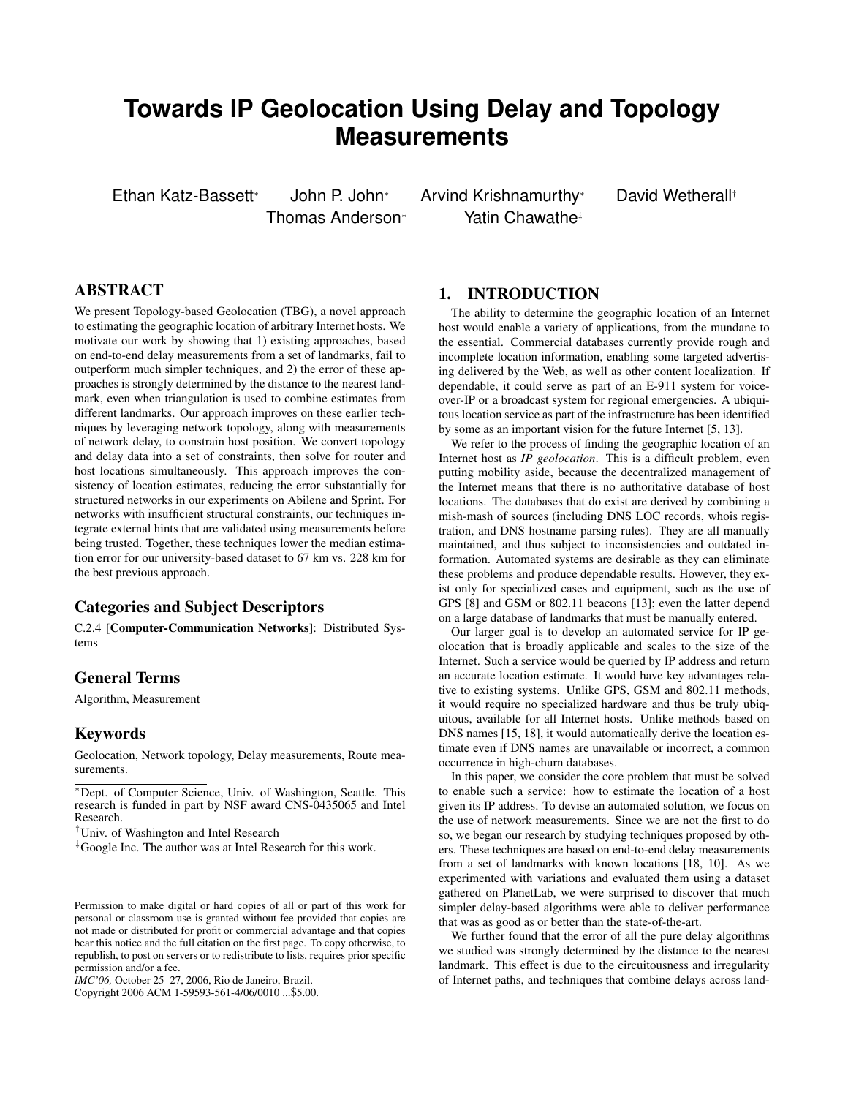# **Towards IP Geolocation Using Delay and Topology Measurements**

Ethan Katz-Bassett<sup>∗</sup> John P. John<sup>∗</sup> Arvind Krishnamurthy<sup>∗</sup> David Wetherall†

Thomas Anderson<sup>∗</sup> Yatin Chawathe‡

# ABSTRACT

We present Topology-based Geolocation (TBG), a novel approach to estimating the geographic location of arbitrary Internet hosts. We motivate our work by showing that 1) existing approaches, based on end-to-end delay measurements from a set of landmarks, fail to outperform much simpler techniques, and 2) the error of these approaches is strongly determined by the distance to the nearest landmark, even when triangulation is used to combine estimates from different landmarks. Our approach improves on these earlier techniques by leveraging network topology, along with measurements of network delay, to constrain host position. We convert topology and delay data into a set of constraints, then solve for router and host locations simultaneously. This approach improves the consistency of location estimates, reducing the error substantially for structured networks in our experiments on Abilene and Sprint. For networks with insufficient structural constraints, our techniques integrate external hints that are validated using measurements before being trusted. Together, these techniques lower the median estimation error for our university-based dataset to 67 km vs. 228 km for the best previous approach.

## Categories and Subject Descriptors

C.2.4 [Computer-Communication Networks]: Distributed Systems

# General Terms

Algorithm, Measurement

## Keywords

Geolocation, Network topology, Delay measurements, Route measurements.

<sup>∗</sup>Dept. of Computer Science, Univ. of Washington, Seattle. This research is funded in part by NSF award CNS-0435065 and Intel Research.

†Univ. of Washington and Intel Research

Copyright 2006 ACM 1-59593-561-4/06/0010 ...\$5.00.

## 1. INTRODUCTION

The ability to determine the geographic location of an Internet host would enable a variety of applications, from the mundane to the essential. Commercial databases currently provide rough and incomplete location information, enabling some targeted advertising delivered by the Web, as well as other content localization. If dependable, it could serve as part of an E-911 system for voiceover-IP or a broadcast system for regional emergencies. A ubiquitous location service as part of the infrastructure has been identified by some as an important vision for the future Internet [5, 13].

We refer to the process of finding the geographic location of an Internet host as *IP geolocation*. This is a difficult problem, even putting mobility aside, because the decentralized management of the Internet means that there is no authoritative database of host locations. The databases that do exist are derived by combining a mish-mash of sources (including DNS LOC records, whois registration, and DNS hostname parsing rules). They are all manually maintained, and thus subject to inconsistencies and outdated information. Automated systems are desirable as they can eliminate these problems and produce dependable results. However, they exist only for specialized cases and equipment, such as the use of GPS [8] and GSM or 802.11 beacons [13]; even the latter depend on a large database of landmarks that must be manually entered.

Our larger goal is to develop an automated service for IP geolocation that is broadly applicable and scales to the size of the Internet. Such a service would be queried by IP address and return an accurate location estimate. It would have key advantages relative to existing systems. Unlike GPS, GSM and 802.11 methods, it would require no specialized hardware and thus be truly ubiquitous, available for all Internet hosts. Unlike methods based on DNS names [15, 18], it would automatically derive the location estimate even if DNS names are unavailable or incorrect, a common occurrence in high-churn databases.

In this paper, we consider the core problem that must be solved to enable such a service: how to estimate the location of a host given its IP address. To devise an automated solution, we focus on the use of network measurements. Since we are not the first to do so, we began our research by studying techniques proposed by others. These techniques are based on end-to-end delay measurements from a set of landmarks with known locations [18, 10]. As we experimented with variations and evaluated them using a dataset gathered on PlanetLab, we were surprised to discover that much simpler delay-based algorithms were able to deliver performance that was as good as or better than the state-of-the-art.

We further found that the error of all the pure delay algorithms we studied was strongly determined by the distance to the nearest landmark. This effect is due to the circuitousness and irregularity of Internet paths, and techniques that combine delays across land-

<sup>‡</sup>Google Inc. The author was at Intel Research for this work.

Permission to make digital or hard copies of all or part of this work for personal or classroom use is granted without fee provided that copies are not made or distributed for profit or commercial advantage and that copies bear this notice and the full citation on the first page. To copy otherwise, to republish, to post on servers or to redistribute to lists, requires prior specific permission and/or a fee.

*IMC'06,* October 25–27, 2006, Rio de Janeiro, Brazil.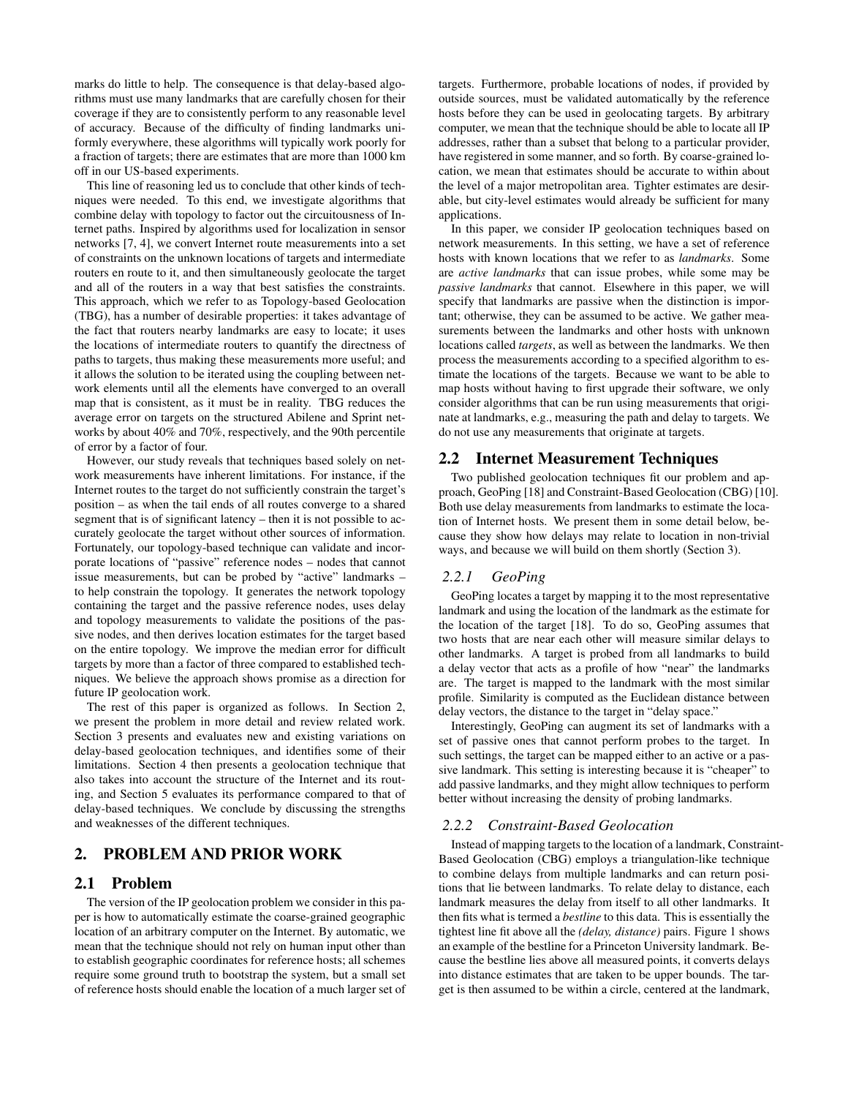marks do little to help. The consequence is that delay-based algorithms must use many landmarks that are carefully chosen for their coverage if they are to consistently perform to any reasonable level of accuracy. Because of the difficulty of finding landmarks uniformly everywhere, these algorithms will typically work poorly for a fraction of targets; there are estimates that are more than 1000 km off in our US-based experiments.

This line of reasoning led us to conclude that other kinds of techniques were needed. To this end, we investigate algorithms that combine delay with topology to factor out the circuitousness of Internet paths. Inspired by algorithms used for localization in sensor networks [7, 4], we convert Internet route measurements into a set of constraints on the unknown locations of targets and intermediate routers en route to it, and then simultaneously geolocate the target and all of the routers in a way that best satisfies the constraints. This approach, which we refer to as Topology-based Geolocation (TBG), has a number of desirable properties: it takes advantage of the fact that routers nearby landmarks are easy to locate; it uses the locations of intermediate routers to quantify the directness of paths to targets, thus making these measurements more useful; and it allows the solution to be iterated using the coupling between network elements until all the elements have converged to an overall map that is consistent, as it must be in reality. TBG reduces the average error on targets on the structured Abilene and Sprint networks by about 40% and 70%, respectively, and the 90th percentile of error by a factor of four.

However, our study reveals that techniques based solely on network measurements have inherent limitations. For instance, if the Internet routes to the target do not sufficiently constrain the target's position – as when the tail ends of all routes converge to a shared segment that is of significant latency – then it is not possible to accurately geolocate the target without other sources of information. Fortunately, our topology-based technique can validate and incorporate locations of "passive" reference nodes – nodes that cannot issue measurements, but can be probed by "active" landmarks – to help constrain the topology. It generates the network topology containing the target and the passive reference nodes, uses delay and topology measurements to validate the positions of the passive nodes, and then derives location estimates for the target based on the entire topology. We improve the median error for difficult targets by more than a factor of three compared to established techniques. We believe the approach shows promise as a direction for future IP geolocation work.

The rest of this paper is organized as follows. In Section 2, we present the problem in more detail and review related work. Section 3 presents and evaluates new and existing variations on delay-based geolocation techniques, and identifies some of their limitations. Section 4 then presents a geolocation technique that also takes into account the structure of the Internet and its routing, and Section 5 evaluates its performance compared to that of delay-based techniques. We conclude by discussing the strengths and weaknesses of the different techniques.

## 2. PROBLEM AND PRIOR WORK

# 2.1 Problem

The version of the IP geolocation problem we consider in this paper is how to automatically estimate the coarse-grained geographic location of an arbitrary computer on the Internet. By automatic, we mean that the technique should not rely on human input other than to establish geographic coordinates for reference hosts; all schemes require some ground truth to bootstrap the system, but a small set of reference hosts should enable the location of a much larger set of targets. Furthermore, probable locations of nodes, if provided by outside sources, must be validated automatically by the reference hosts before they can be used in geolocating targets. By arbitrary computer, we mean that the technique should be able to locate all IP addresses, rather than a subset that belong to a particular provider, have registered in some manner, and so forth. By coarse-grained location, we mean that estimates should be accurate to within about the level of a major metropolitan area. Tighter estimates are desirable, but city-level estimates would already be sufficient for many applications.

In this paper, we consider IP geolocation techniques based on network measurements. In this setting, we have a set of reference hosts with known locations that we refer to as *landmarks*. Some are *active landmarks* that can issue probes, while some may be *passive landmarks* that cannot. Elsewhere in this paper, we will specify that landmarks are passive when the distinction is important; otherwise, they can be assumed to be active. We gather measurements between the landmarks and other hosts with unknown locations called *targets*, as well as between the landmarks. We then process the measurements according to a specified algorithm to estimate the locations of the targets. Because we want to be able to map hosts without having to first upgrade their software, we only consider algorithms that can be run using measurements that originate at landmarks, e.g., measuring the path and delay to targets. We do not use any measurements that originate at targets.

#### 2.2 Internet Measurement Techniques

Two published geolocation techniques fit our problem and approach, GeoPing [18] and Constraint-Based Geolocation (CBG) [10]. Both use delay measurements from landmarks to estimate the location of Internet hosts. We present them in some detail below, because they show how delays may relate to location in non-trivial ways, and because we will build on them shortly (Section 3).

#### *2.2.1 GeoPing*

GeoPing locates a target by mapping it to the most representative landmark and using the location of the landmark as the estimate for the location of the target [18]. To do so, GeoPing assumes that two hosts that are near each other will measure similar delays to other landmarks. A target is probed from all landmarks to build a delay vector that acts as a profile of how "near" the landmarks are. The target is mapped to the landmark with the most similar profile. Similarity is computed as the Euclidean distance between delay vectors, the distance to the target in "delay space."

Interestingly, GeoPing can augment its set of landmarks with a set of passive ones that cannot perform probes to the target. In such settings, the target can be mapped either to an active or a passive landmark. This setting is interesting because it is "cheaper" to add passive landmarks, and they might allow techniques to perform better without increasing the density of probing landmarks.

## *2.2.2 Constraint-Based Geolocation*

Instead of mapping targets to the location of a landmark, Constraint-Based Geolocation (CBG) employs a triangulation-like technique to combine delays from multiple landmarks and can return positions that lie between landmarks. To relate delay to distance, each landmark measures the delay from itself to all other landmarks. It then fits what is termed a *bestline* to this data. This is essentially the tightest line fit above all the *(delay, distance)* pairs. Figure 1 shows an example of the bestline for a Princeton University landmark. Because the bestline lies above all measured points, it converts delays into distance estimates that are taken to be upper bounds. The target is then assumed to be within a circle, centered at the landmark,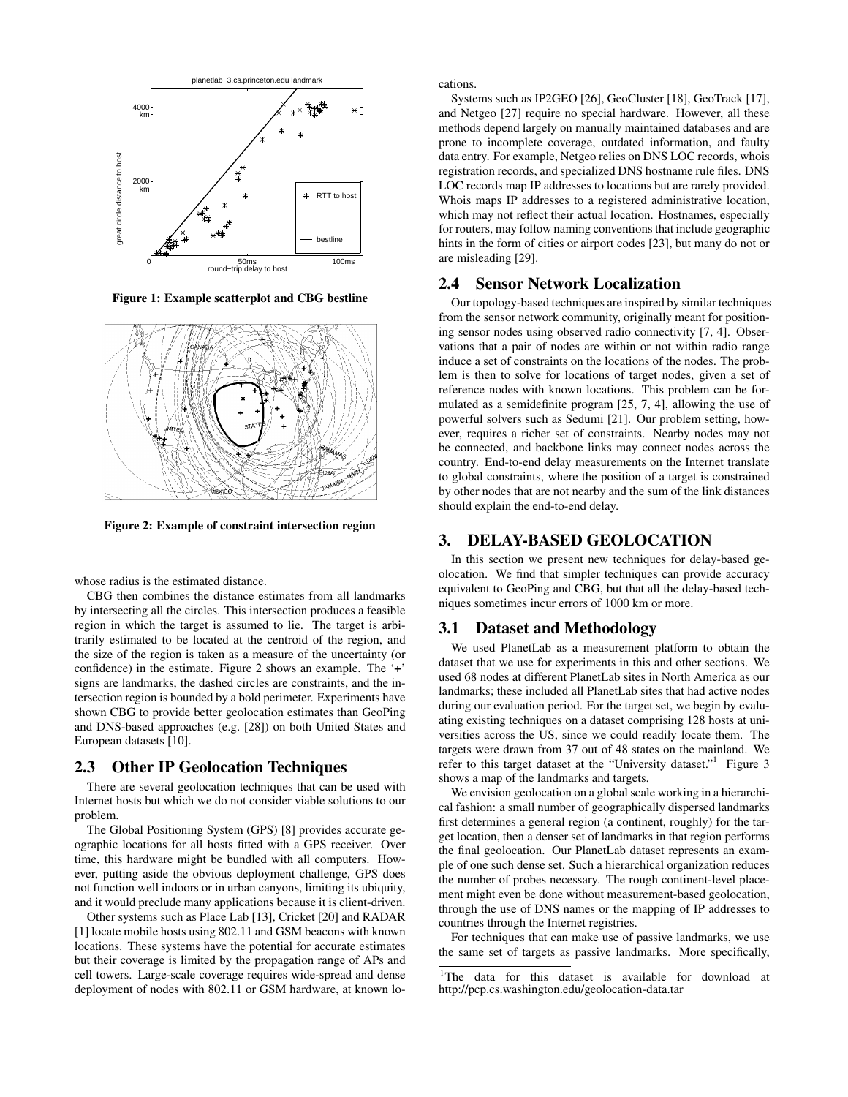

Figure 1: Example scatterplot and CBG bestline



Figure 2: Example of constraint intersection region

whose radius is the estimated distance.

CBG then combines the distance estimates from all landmarks by intersecting all the circles. This intersection produces a feasible region in which the target is assumed to lie. The target is arbitrarily estimated to be located at the centroid of the region, and the size of the region is taken as a measure of the uncertainty (or confidence) in the estimate. Figure 2 shows an example. The '+' signs are landmarks, the dashed circles are constraints, and the intersection region is bounded by a bold perimeter. Experiments have shown CBG to provide better geolocation estimates than GeoPing and DNS-based approaches (e.g. [28]) on both United States and European datasets [10].

#### 2.3 Other IP Geolocation Techniques

There are several geolocation techniques that can be used with Internet hosts but which we do not consider viable solutions to our problem.

The Global Positioning System (GPS) [8] provides accurate geographic locations for all hosts fitted with a GPS receiver. Over time, this hardware might be bundled with all computers. However, putting aside the obvious deployment challenge, GPS does not function well indoors or in urban canyons, limiting its ubiquity, and it would preclude many applications because it is client-driven.

Other systems such as Place Lab [13], Cricket [20] and RADAR [1] locate mobile hosts using 802.11 and GSM beacons with known locations. These systems have the potential for accurate estimates but their coverage is limited by the propagation range of APs and cell towers. Large-scale coverage requires wide-spread and dense deployment of nodes with 802.11 or GSM hardware, at known locations.

Systems such as IP2GEO [26], GeoCluster [18], GeoTrack [17], and Netgeo [27] require no special hardware. However, all these methods depend largely on manually maintained databases and are prone to incomplete coverage, outdated information, and faulty data entry. For example, Netgeo relies on DNS LOC records, whois registration records, and specialized DNS hostname rule files. DNS LOC records map IP addresses to locations but are rarely provided. Whois maps IP addresses to a registered administrative location, which may not reflect their actual location. Hostnames, especially for routers, may follow naming conventions that include geographic hints in the form of cities or airport codes [23], but many do not or are misleading [29].

#### 2.4 Sensor Network Localization

Our topology-based techniques are inspired by similar techniques from the sensor network community, originally meant for positioning sensor nodes using observed radio connectivity [7, 4]. Observations that a pair of nodes are within or not within radio range induce a set of constraints on the locations of the nodes. The problem is then to solve for locations of target nodes, given a set of reference nodes with known locations. This problem can be formulated as a semidefinite program [25, 7, 4], allowing the use of powerful solvers such as Sedumi [21]. Our problem setting, however, requires a richer set of constraints. Nearby nodes may not be connected, and backbone links may connect nodes across the country. End-to-end delay measurements on the Internet translate to global constraints, where the position of a target is constrained by other nodes that are not nearby and the sum of the link distances should explain the end-to-end delay.

## 3. DELAY-BASED GEOLOCATION

In this section we present new techniques for delay-based geolocation. We find that simpler techniques can provide accuracy equivalent to GeoPing and CBG, but that all the delay-based techniques sometimes incur errors of 1000 km or more.

#### 3.1 Dataset and Methodology

We used PlanetLab as a measurement platform to obtain the dataset that we use for experiments in this and other sections. We used 68 nodes at different PlanetLab sites in North America as our landmarks; these included all PlanetLab sites that had active nodes during our evaluation period. For the target set, we begin by evaluating existing techniques on a dataset comprising 128 hosts at universities across the US, since we could readily locate them. The targets were drawn from 37 out of 48 states on the mainland. We refer to this target dataset at the "University dataset."<sup>1</sup> Figure 3 shows a map of the landmarks and targets.

We envision geolocation on a global scale working in a hierarchical fashion: a small number of geographically dispersed landmarks first determines a general region (a continent, roughly) for the target location, then a denser set of landmarks in that region performs the final geolocation. Our PlanetLab dataset represents an example of one such dense set. Such a hierarchical organization reduces the number of probes necessary. The rough continent-level placement might even be done without measurement-based geolocation, through the use of DNS names or the mapping of IP addresses to countries through the Internet registries.

For techniques that can make use of passive landmarks, we use the same set of targets as passive landmarks. More specifically,

<sup>&</sup>lt;sup>1</sup>The data for this dataset is available for download at http://pcp.cs.washington.edu/geolocation-data.tar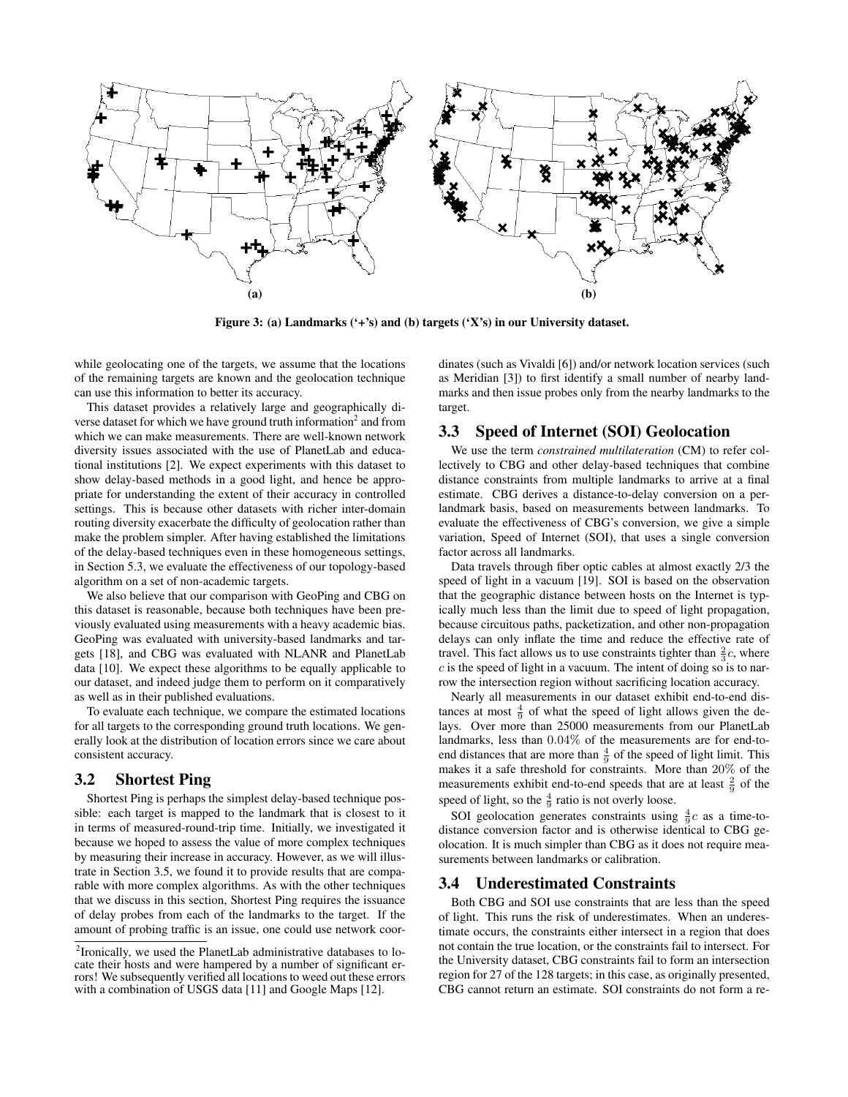

Figure 3: (a) Landmarks  $(*\cdot s)$  and (b) targets  $(*X\cdot s)$  in our University dataset.

while geolocating one of the targets, we assume that the locations of the remaining targets are known and the geolocation technique can use this information to better its accuracy.

This dataset provides a relatively large and geographically diverse dataset for which we have ground truth information<sup>2</sup> and from which we can make measurements. There are well-known network diversity issues associated with the use of PlanetLab and educational institutions [2]. We expect experiments with this dataset to show delay-based methods in a good light, and hence be appropriate for understanding the extent of their accuracy in controlled settings. This is because other datasets with richer inter-domain routing diversity exacerbate the difficulty of geolocation rather than make the problem simpler. After having established the limitations of the delay-based techniques even in these homogeneous settings, in Section 5.3, we evaluate the effectiveness of our topology-based algorithm on a set of non-academic targets.

We also believe that our comparison with GeoPing and CBG on this dataset is reasonable, because both techniques have been previously evaluated using measurements with a heavy academic bias. GeoPing was evaluated with university-based landmarks and targets [18], and CBG was evaluated with NLANR and PlanetLab data [10]. We expect these algorithms to be equally applicable to our dataset, and indeed judge them to perform on it comparatively as well as in their published evaluations.

To evaluate each technique, we compare the estimated locations for all targets to the corresponding ground truth locations. We generally look at the distribution of location errors since we care about consistent accuracy.

#### 3.2 Shortest Ping

Shortest Ping is perhaps the simplest delay-based technique possible: each target is mapped to the landmark that is closest to it in terms of measured-round-trip time. Initially, we investigated it because we hoped to assess the value of more complex techniques by measuring their increase in accuracy. However, as we will illustrate in Section 3.5, we found it to provide results that are comparable with more complex algorithms. As with the other techniques that we discuss in this section, Shortest Ping requires the issuance of delay probes from each of the landmarks to the target. If the amount of probing traffic is an issue, one could use network coordinates (such as Vivaldi [6]) and/or network location services (such as Meridian [3]) to first identify a small number of nearby landmarks and then issue probes only from the nearby landmarks to the target.

## 3.3 Speed of Internet (SOI) Geolocation

We use the term *constrained multilateration* (CM) to refer collectively to CBG and other delay-based techniques that combine distance constraints from multiple landmarks to arrive at a final estimate. CBG derives a distance-to-delay conversion on a perlandmark basis, based on measurements between landmarks. To evaluate the effectiveness of CBG's conversion, we give a simple variation, Speed of Internet (SOI), that uses a single conversion factor across all landmarks.

Data travels through fiber optic cables at almost exactly 2/3 the speed of light in a vacuum [19]. SOI is based on the observation that the geographic distance between hosts on the Internet is typically much less than the limit due to speed of light propagation, because circuitous paths, packetization, and other non-propagation delays can only inflate the time and reduce the effective rate of travel. This fact allows us to use constraints tighter than  $\frac{2}{3}c$ , where  $c$  is the speed of light in a vacuum. The intent of doing so is to narrow the intersection region without sacrificing location accuracy.

Nearly all measurements in our dataset exhibit end-to-end distances at most  $\frac{4}{9}$  of what the speed of light allows given the delays. Over more than 25000 measurements from our PlanetLab landmarks, less than 0.04% of the measurements are for end-toend distances that are more than  $\frac{4}{9}$  of the speed of light limit. This makes it a safe threshold for constraints. More than 20% of the measurements exhibit end-to-end speeds that are at least  $\frac{2}{9}$  of the speed of light, so the  $\frac{4}{9}$  ratio is not overly loose.

SOI geolocation generates constraints using  $\frac{4}{9}c$  as a time-todistance conversion factor and is otherwise identical to CBG geolocation. It is much simpler than CBG as it does not require measurements between landmarks or calibration.

## 3.4 Underestimated Constraints

Both CBG and SOI use constraints that are less than the speed of light. This runs the risk of underestimates. When an underestimate occurs, the constraints either intersect in a region that does not contain the true location, or the constraints fail to intersect. For the University dataset, CBG constraints fail to form an intersection region for 27 of the 128 targets; in this case, as originally presented, CBG cannot return an estimate. SOI constraints do not form a re-

<sup>&</sup>lt;sup>2</sup> Ironically, we used the PlanetLab administrative databases to locate their hosts and were hampered by a number of significant errors! We subsequently verified all locations to weed out these errors with a combination of USGS data [11] and Google Maps [12].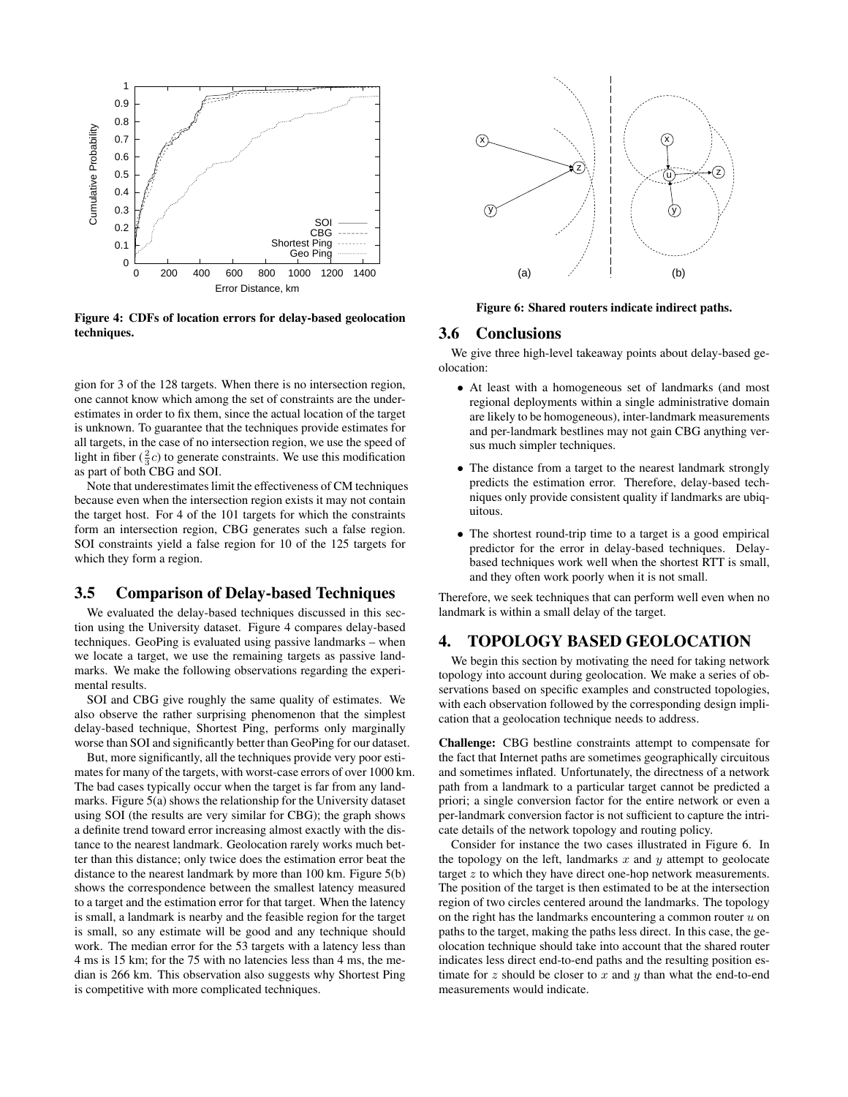

Figure 4: CDFs of location errors for delay-based geolocation techniques.

gion for 3 of the 128 targets. When there is no intersection region, one cannot know which among the set of constraints are the underestimates in order to fix them, since the actual location of the target is unknown. To guarantee that the techniques provide estimates for all targets, in the case of no intersection region, we use the speed of light in fiber  $(\frac{2}{3}c)$  to generate constraints. We use this modification as part of both CBG and SOI.

Note that underestimates limit the effectiveness of CM techniques because even when the intersection region exists it may not contain the target host. For 4 of the 101 targets for which the constraints form an intersection region, CBG generates such a false region. SOI constraints yield a false region for 10 of the 125 targets for which they form a region.

# 3.5 Comparison of Delay-based Techniques

We evaluated the delay-based techniques discussed in this section using the University dataset. Figure 4 compares delay-based techniques. GeoPing is evaluated using passive landmarks – when we locate a target, we use the remaining targets as passive landmarks. We make the following observations regarding the experimental results.

SOI and CBG give roughly the same quality of estimates. We also observe the rather surprising phenomenon that the simplest delay-based technique, Shortest Ping, performs only marginally worse than SOI and significantly better than GeoPing for our dataset.

But, more significantly, all the techniques provide very poor estimates for many of the targets, with worst-case errors of over 1000 km. The bad cases typically occur when the target is far from any landmarks. Figure 5(a) shows the relationship for the University dataset using SOI (the results are very similar for CBG); the graph shows a definite trend toward error increasing almost exactly with the distance to the nearest landmark. Geolocation rarely works much better than this distance; only twice does the estimation error beat the distance to the nearest landmark by more than 100 km. Figure 5(b) shows the correspondence between the smallest latency measured to a target and the estimation error for that target. When the latency is small, a landmark is nearby and the feasible region for the target is small, so any estimate will be good and any technique should work. The median error for the 53 targets with a latency less than 4 ms is 15 km; for the 75 with no latencies less than 4 ms, the median is 266 km. This observation also suggests why Shortest Ping is competitive with more complicated techniques.



Figure 6: Shared routers indicate indirect paths.

## 3.6 Conclusions

We give three high-level takeaway points about delay-based geolocation:

- At least with a homogeneous set of landmarks (and most regional deployments within a single administrative domain are likely to be homogeneous), inter-landmark measurements and per-landmark bestlines may not gain CBG anything versus much simpler techniques.
- The distance from a target to the nearest landmark strongly predicts the estimation error. Therefore, delay-based techniques only provide consistent quality if landmarks are ubiquitous.
- The shortest round-trip time to a target is a good empirical predictor for the error in delay-based techniques. Delaybased techniques work well when the shortest RTT is small, and they often work poorly when it is not small.

Therefore, we seek techniques that can perform well even when no landmark is within a small delay of the target.

## 4. TOPOLOGY BASED GEOLOCATION

We begin this section by motivating the need for taking network topology into account during geolocation. We make a series of observations based on specific examples and constructed topologies, with each observation followed by the corresponding design implication that a geolocation technique needs to address.

Challenge: CBG bestline constraints attempt to compensate for the fact that Internet paths are sometimes geographically circuitous and sometimes inflated. Unfortunately, the directness of a network path from a landmark to a particular target cannot be predicted a priori; a single conversion factor for the entire network or even a per-landmark conversion factor is not sufficient to capture the intricate details of the network topology and routing policy.

Consider for instance the two cases illustrated in Figure 6. In the topology on the left, landmarks  $x$  and  $y$  attempt to geolocate target z to which they have direct one-hop network measurements. The position of the target is then estimated to be at the intersection region of two circles centered around the landmarks. The topology on the right has the landmarks encountering a common router  $u$  on paths to the target, making the paths less direct. In this case, the geolocation technique should take into account that the shared router indicates less direct end-to-end paths and the resulting position estimate for  $z$  should be closer to  $x$  and  $y$  than what the end-to-end measurements would indicate.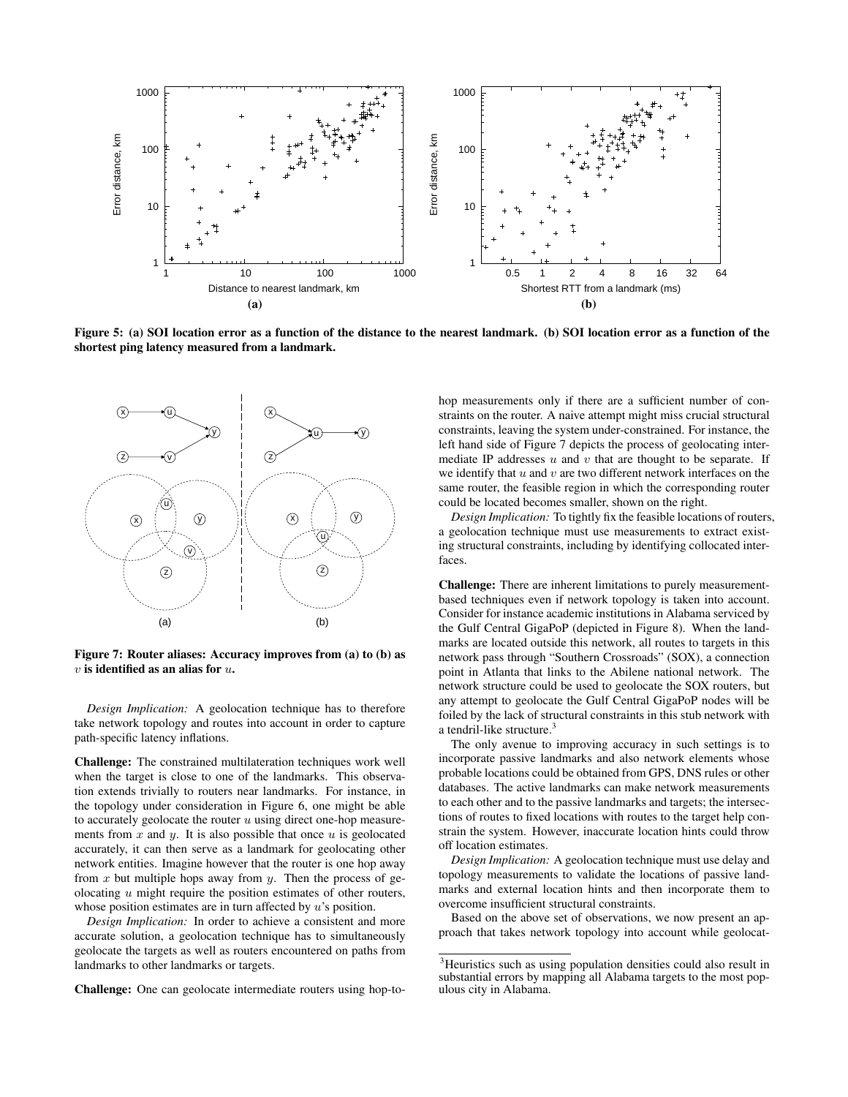

Figure 5: (a) SOI location error as a function of the distance to the nearest landmark. (b) SOI location error as a function of the shortest ping latency measured from a landmark.



Figure 7: Router aliases: Accuracy improves from (a) to (b) as  $v$  is identified as an alias for  $u$ .

*Design Implication:* A geolocation technique has to therefore take network topology and routes into account in order to capture path-specific latency inflations.

Challenge: The constrained multilateration techniques work well when the target is close to one of the landmarks. This observation extends trivially to routers near landmarks. For instance, in the topology under consideration in Figure 6, one might be able to accurately geolocate the router  $u$  using direct one-hop measurements from  $x$  and  $y$ . It is also possible that once  $u$  is geolocated accurately, it can then serve as a landmark for geolocating other network entities. Imagine however that the router is one hop away from x but multiple hops away from y. Then the process of geolocating  $u$  might require the position estimates of other routers, whose position estimates are in turn affected by u's position.

*Design Implication:* In order to achieve a consistent and more accurate solution, a geolocation technique has to simultaneously geolocate the targets as well as routers encountered on paths from landmarks to other landmarks or targets.

Challenge: One can geolocate intermediate routers using hop-to-

hop measurements only if there are a sufficient number of constraints on the router. A naive attempt might miss crucial structural constraints, leaving the system under-constrained. For instance, the left hand side of Figure 7 depicts the process of geolocating intermediate IP addresses  $u$  and  $v$  that are thought to be separate. If we identify that  $u$  and  $v$  are two different network interfaces on the same router, the feasible region in which the corresponding router could be located becomes smaller, shown on the right.

*Design Implication:* To tightly fix the feasible locations of routers, a geolocation technique must use measurements to extract existing structural constraints, including by identifying collocated interfaces.

Challenge: There are inherent limitations to purely measurementbased techniques even if network topology is taken into account. Consider for instance academic institutions in Alabama serviced by the Gulf Central GigaPoP (depicted in Figure 8). When the landmarks are located outside this network, all routes to targets in this network pass through "Southern Crossroads" (SOX), a connection point in Atlanta that links to the Abilene national network. The network structure could be used to geolocate the SOX routers, but any attempt to geolocate the Gulf Central GigaPoP nodes will be foiled by the lack of structural constraints in this stub network with a tendril-like structure.<sup>3</sup>

The only avenue to improving accuracy in such settings is to incorporate passive landmarks and also network elements whose probable locations could be obtained from GPS, DNS rules or other databases. The active landmarks can make network measurements to each other and to the passive landmarks and targets; the intersections of routes to fixed locations with routes to the target help constrain the system. However, inaccurate location hints could throw off location estimates.

*Design Implication:* A geolocation technique must use delay and topology measurements to validate the locations of passive landmarks and external location hints and then incorporate them to overcome insufficient structural constraints.

Based on the above set of observations, we now present an approach that takes network topology into account while geolocat-

<sup>&</sup>lt;sup>3</sup>Heuristics such as using population densities could also result in substantial errors by mapping all Alabama targets to the most populous city in Alabama.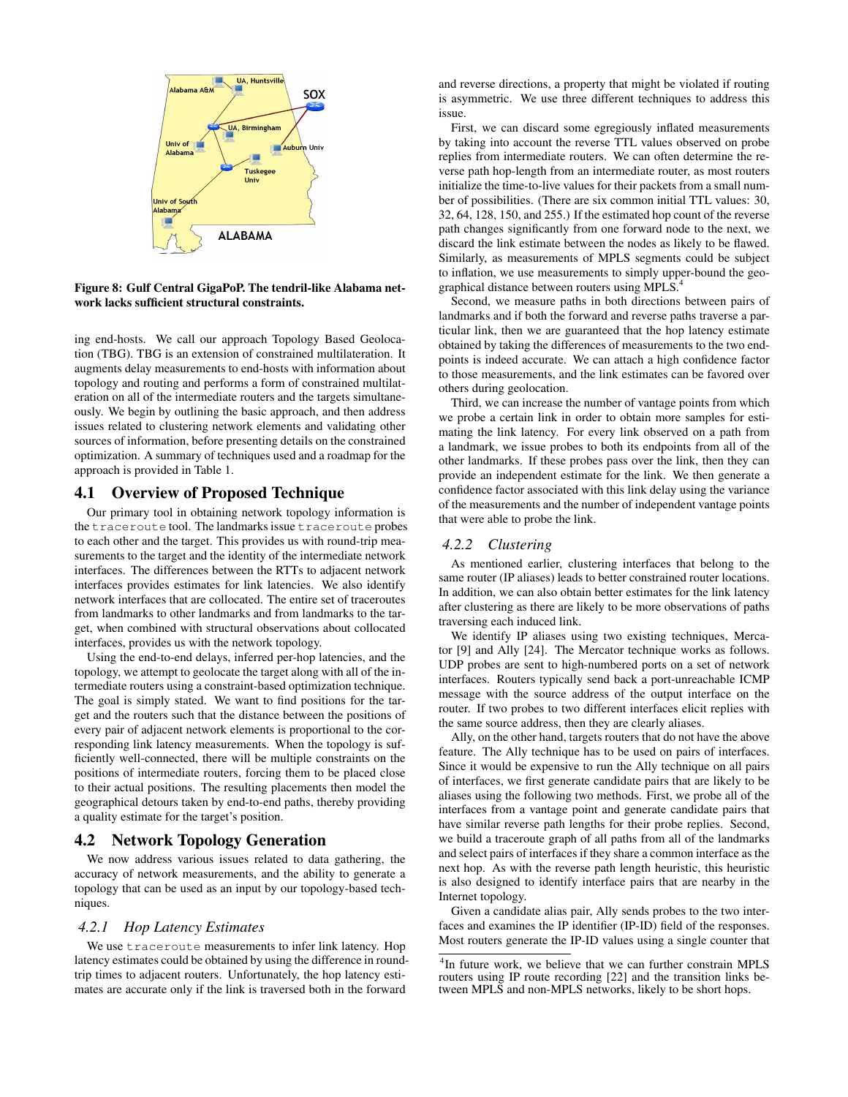

Figure 8: Gulf Central GigaPoP. The tendril-like Alabama network lacks sufficient structural constraints.

ing end-hosts. We call our approach Topology Based Geolocation (TBG). TBG is an extension of constrained multilateration. It augments delay measurements to end-hosts with information about topology and routing and performs a form of constrained multilateration on all of the intermediate routers and the targets simultaneously. We begin by outlining the basic approach, and then address issues related to clustering network elements and validating other sources of information, before presenting details on the constrained optimization. A summary of techniques used and a roadmap for the approach is provided in Table 1.

## 4.1 Overview of Proposed Technique

Our primary tool in obtaining network topology information is the traceroute tool. The landmarks issue traceroute probes to each other and the target. This provides us with round-trip measurements to the target and the identity of the intermediate network interfaces. The differences between the RTTs to adjacent network interfaces provides estimates for link latencies. We also identify network interfaces that are collocated. The entire set of traceroutes from landmarks to other landmarks and from landmarks to the target, when combined with structural observations about collocated interfaces, provides us with the network topology.

Using the end-to-end delays, inferred per-hop latencies, and the topology, we attempt to geolocate the target along with all of the intermediate routers using a constraint-based optimization technique. The goal is simply stated. We want to find positions for the target and the routers such that the distance between the positions of every pair of adjacent network elements is proportional to the corresponding link latency measurements. When the topology is sufficiently well-connected, there will be multiple constraints on the positions of intermediate routers, forcing them to be placed close to their actual positions. The resulting placements then model the geographical detours taken by end-to-end paths, thereby providing a quality estimate for the target's position.

#### 4.2 Network Topology Generation

We now address various issues related to data gathering, the accuracy of network measurements, and the ability to generate a topology that can be used as an input by our topology-based techniques.

#### *4.2.1 Hop Latency Estimates*

We use traceroute measurements to infer link latency. Hop latency estimates could be obtained by using the difference in roundtrip times to adjacent routers. Unfortunately, the hop latency estimates are accurate only if the link is traversed both in the forward

and reverse directions, a property that might be violated if routing is asymmetric. We use three different techniques to address this issue.

First, we can discard some egregiously inflated measurements by taking into account the reverse TTL values observed on probe replies from intermediate routers. We can often determine the reverse path hop-length from an intermediate router, as most routers initialize the time-to-live values for their packets from a small number of possibilities. (There are six common initial TTL values: 30, 32, 64, 128, 150, and 255.) If the estimated hop count of the reverse path changes significantly from one forward node to the next, we discard the link estimate between the nodes as likely to be flawed. Similarly, as measurements of MPLS segments could be subject to inflation, we use measurements to simply upper-bound the geographical distance between routers using MPLS.<sup>4</sup>

Second, we measure paths in both directions between pairs of landmarks and if both the forward and reverse paths traverse a particular link, then we are guaranteed that the hop latency estimate obtained by taking the differences of measurements to the two endpoints is indeed accurate. We can attach a high confidence factor to those measurements, and the link estimates can be favored over others during geolocation.

Third, we can increase the number of vantage points from which we probe a certain link in order to obtain more samples for estimating the link latency. For every link observed on a path from a landmark, we issue probes to both its endpoints from all of the other landmarks. If these probes pass over the link, then they can provide an independent estimate for the link. We then generate a confidence factor associated with this link delay using the variance of the measurements and the number of independent vantage points that were able to probe the link.

#### *4.2.2 Clustering*

As mentioned earlier, clustering interfaces that belong to the same router (IP aliases) leads to better constrained router locations. In addition, we can also obtain better estimates for the link latency after clustering as there are likely to be more observations of paths traversing each induced link.

We identify IP aliases using two existing techniques, Mercator [9] and Ally [24]. The Mercator technique works as follows. UDP probes are sent to high-numbered ports on a set of network interfaces. Routers typically send back a port-unreachable ICMP message with the source address of the output interface on the router. If two probes to two different interfaces elicit replies with the same source address, then they are clearly aliases.

Ally, on the other hand, targets routers that do not have the above feature. The Ally technique has to be used on pairs of interfaces. Since it would be expensive to run the Ally technique on all pairs of interfaces, we first generate candidate pairs that are likely to be aliases using the following two methods. First, we probe all of the interfaces from a vantage point and generate candidate pairs that have similar reverse path lengths for their probe replies. Second, we build a traceroute graph of all paths from all of the landmarks and select pairs of interfaces if they share a common interface as the next hop. As with the reverse path length heuristic, this heuristic is also designed to identify interface pairs that are nearby in the Internet topology.

Given a candidate alias pair, Ally sends probes to the two interfaces and examines the IP identifier (IP-ID) field of the responses. Most routers generate the IP-ID values using a single counter that

<sup>&</sup>lt;sup>4</sup>In future work, we believe that we can further constrain MPLS routers using IP route recording [22] and the transition links between MPLS and non-MPLS networks, likely to be short hops.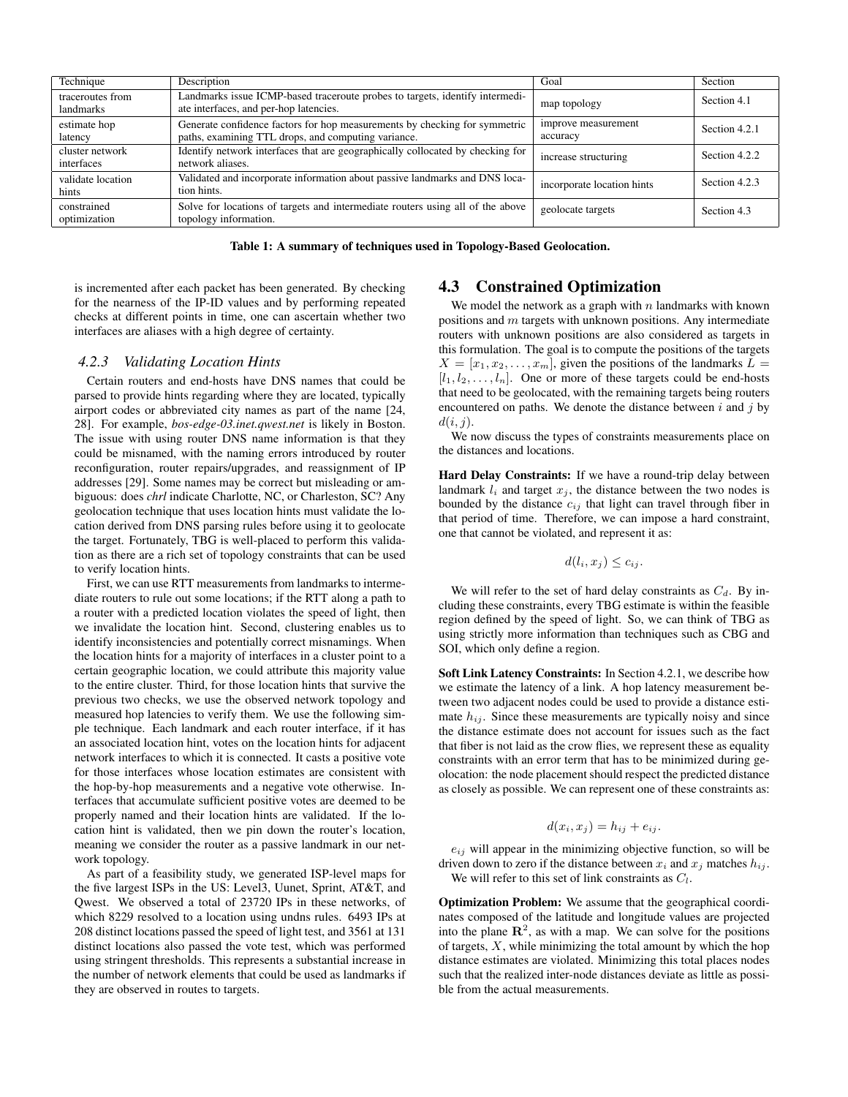| Technique                     | Description                                                                                                                       | Goal                            | Section       |
|-------------------------------|-----------------------------------------------------------------------------------------------------------------------------------|---------------------------------|---------------|
| traceroutes from<br>landmarks | Landmarks issue ICMP-based traceroute probes to targets, identify intermedi-<br>ate interfaces, and per-hop latencies.            | map topology                    | Section 4.1   |
| estimate hop<br>latency       | Generate confidence factors for hop measurements by checking for symmetric<br>paths, examining TTL drops, and computing variance. | improve measurement<br>accuracy | Section 4.2.1 |
| cluster network<br>interfaces | Identify network interfaces that are geographically collocated by checking for<br>network aliases.                                | increase structuring            | Section 4.2.2 |
| validate location<br>hints    | Validated and incorporate information about passive landmarks and DNS loca-<br>tion hints.                                        | incorporate location hints      | Section 4.2.3 |
| constrained<br>optimization   | Solve for locations of targets and intermediate routers using all of the above<br>topology information.                           | geolocate targets               | Section 4.3   |

Table 1: A summary of techniques used in Topology-Based Geolocation.

is incremented after each packet has been generated. By checking for the nearness of the IP-ID values and by performing repeated checks at different points in time, one can ascertain whether two interfaces are aliases with a high degree of certainty.

#### *4.2.3 Validating Location Hints*

Certain routers and end-hosts have DNS names that could be parsed to provide hints regarding where they are located, typically airport codes or abbreviated city names as part of the name [24, 28]. For example, *bos-edge-03.inet.qwest.net* is likely in Boston. The issue with using router DNS name information is that they could be misnamed, with the naming errors introduced by router reconfiguration, router repairs/upgrades, and reassignment of IP addresses [29]. Some names may be correct but misleading or ambiguous: does *chrl* indicate Charlotte, NC, or Charleston, SC? Any geolocation technique that uses location hints must validate the location derived from DNS parsing rules before using it to geolocate the target. Fortunately, TBG is well-placed to perform this validation as there are a rich set of topology constraints that can be used to verify location hints.

First, we can use RTT measurements from landmarks to intermediate routers to rule out some locations; if the RTT along a path to a router with a predicted location violates the speed of light, then we invalidate the location hint. Second, clustering enables us to identify inconsistencies and potentially correct misnamings. When the location hints for a majority of interfaces in a cluster point to a certain geographic location, we could attribute this majority value to the entire cluster. Third, for those location hints that survive the previous two checks, we use the observed network topology and measured hop latencies to verify them. We use the following simple technique. Each landmark and each router interface, if it has an associated location hint, votes on the location hints for adjacent network interfaces to which it is connected. It casts a positive vote for those interfaces whose location estimates are consistent with the hop-by-hop measurements and a negative vote otherwise. Interfaces that accumulate sufficient positive votes are deemed to be properly named and their location hints are validated. If the location hint is validated, then we pin down the router's location, meaning we consider the router as a passive landmark in our network topology.

As part of a feasibility study, we generated ISP-level maps for the five largest ISPs in the US: Level3, Uunet, Sprint, AT&T, and Qwest. We observed a total of 23720 IPs in these networks, of which 8229 resolved to a location using undns rules. 6493 IPs at 208 distinct locations passed the speed of light test, and 3561 at 131 distinct locations also passed the vote test, which was performed using stringent thresholds. This represents a substantial increase in the number of network elements that could be used as landmarks if they are observed in routes to targets.

#### 4.3 Constrained Optimization

We model the network as a graph with  $n$  landmarks with known positions and  $m$  targets with unknown positions. Any intermediate routers with unknown positions are also considered as targets in this formulation. The goal is to compute the positions of the targets  $X = [x_1, x_2, \dots, x_m]$ , given the positions of the landmarks  $\overline{L} =$  $[l_1, l_2, \ldots, l_n]$ . One or more of these targets could be end-hosts that need to be geolocated, with the remaining targets being routers encountered on paths. We denote the distance between  $i$  and  $j$  by  $d(i, j)$ .

We now discuss the types of constraints measurements place on the distances and locations.

Hard Delay Constraints: If we have a round-trip delay between landmark  $l_i$  and target  $x_j$ , the distance between the two nodes is bounded by the distance  $c_{ij}$  that light can travel through fiber in that period of time. Therefore, we can impose a hard constraint, one that cannot be violated, and represent it as:

$$
d(l_i, x_j) \leq c_{ij}.
$$

We will refer to the set of hard delay constraints as  $C_d$ . By including these constraints, every TBG estimate is within the feasible region defined by the speed of light. So, we can think of TBG as using strictly more information than techniques such as CBG and SOI, which only define a region.

Soft Link Latency Constraints: In Section 4.2.1, we describe how we estimate the latency of a link. A hop latency measurement between two adjacent nodes could be used to provide a distance estimate  $h_{ij}$ . Since these measurements are typically noisy and since the distance estimate does not account for issues such as the fact that fiber is not laid as the crow flies, we represent these as equality constraints with an error term that has to be minimized during geolocation: the node placement should respect the predicted distance as closely as possible. We can represent one of these constraints as:

$$
d(x_i, x_j) = h_{ij} + e_{ij}.
$$

 $e_{ij}$  will appear in the minimizing objective function, so will be driven down to zero if the distance between  $x_i$  and  $x_j$  matches  $h_{ij}$ . We will refer to this set of link constraints as  $C_l$ .

Optimization Problem: We assume that the geographical coordinates composed of the latitude and longitude values are projected into the plane  $\mathbb{R}^2$ , as with a map. We can solve for the positions of targets,  $X$ , while minimizing the total amount by which the hop distance estimates are violated. Minimizing this total places nodes such that the realized inter-node distances deviate as little as possible from the actual measurements.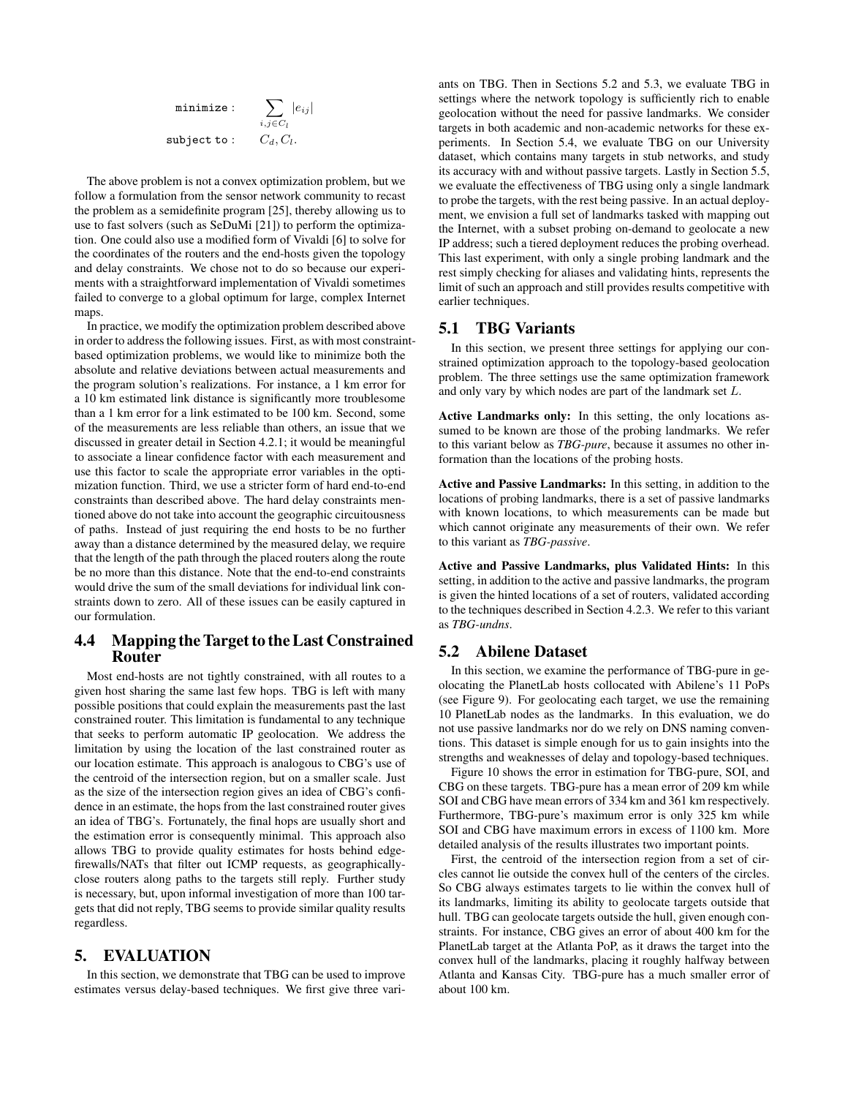minimize :  $\sum$  $_{i,j\in C_l}$  $|e_{ij}|$  $subject to:$ 

The above problem is not a convex optimization problem, but we follow a formulation from the sensor network community to recast the problem as a semidefinite program [25], thereby allowing us to use to fast solvers (such as SeDuMi [21]) to perform the optimization. One could also use a modified form of Vivaldi [6] to solve for the coordinates of the routers and the end-hosts given the topology and delay constraints. We chose not to do so because our experiments with a straightforward implementation of Vivaldi sometimes failed to converge to a global optimum for large, complex Internet maps.

In practice, we modify the optimization problem described above in order to address the following issues. First, as with most constraintbased optimization problems, we would like to minimize both the absolute and relative deviations between actual measurements and the program solution's realizations. For instance, a 1 km error for a 10 km estimated link distance is significantly more troublesome than a 1 km error for a link estimated to be 100 km. Second, some of the measurements are less reliable than others, an issue that we discussed in greater detail in Section 4.2.1; it would be meaningful to associate a linear confidence factor with each measurement and use this factor to scale the appropriate error variables in the optimization function. Third, we use a stricter form of hard end-to-end constraints than described above. The hard delay constraints mentioned above do not take into account the geographic circuitousness of paths. Instead of just requiring the end hosts to be no further away than a distance determined by the measured delay, we require that the length of the path through the placed routers along the route be no more than this distance. Note that the end-to-end constraints would drive the sum of the small deviations for individual link constraints down to zero. All of these issues can be easily captured in our formulation.

## 4.4 Mapping the Target to the Last Constrained Router

Most end-hosts are not tightly constrained, with all routes to a given host sharing the same last few hops. TBG is left with many possible positions that could explain the measurements past the last constrained router. This limitation is fundamental to any technique that seeks to perform automatic IP geolocation. We address the limitation by using the location of the last constrained router as our location estimate. This approach is analogous to CBG's use of the centroid of the intersection region, but on a smaller scale. Just as the size of the intersection region gives an idea of CBG's confidence in an estimate, the hops from the last constrained router gives an idea of TBG's. Fortunately, the final hops are usually short and the estimation error is consequently minimal. This approach also allows TBG to provide quality estimates for hosts behind edgefirewalls/NATs that filter out ICMP requests, as geographicallyclose routers along paths to the targets still reply. Further study is necessary, but, upon informal investigation of more than 100 targets that did not reply, TBG seems to provide similar quality results regardless.

## 5. EVALUATION

In this section, we demonstrate that TBG can be used to improve estimates versus delay-based techniques. We first give three variants on TBG. Then in Sections 5.2 and 5.3, we evaluate TBG in settings where the network topology is sufficiently rich to enable geolocation without the need for passive landmarks. We consider targets in both academic and non-academic networks for these experiments. In Section 5.4, we evaluate TBG on our University dataset, which contains many targets in stub networks, and study its accuracy with and without passive targets. Lastly in Section 5.5, we evaluate the effectiveness of TBG using only a single landmark to probe the targets, with the rest being passive. In an actual deployment, we envision a full set of landmarks tasked with mapping out the Internet, with a subset probing on-demand to geolocate a new IP address; such a tiered deployment reduces the probing overhead. This last experiment, with only a single probing landmark and the rest simply checking for aliases and validating hints, represents the limit of such an approach and still provides results competitive with earlier techniques.

## 5.1 TBG Variants

In this section, we present three settings for applying our constrained optimization approach to the topology-based geolocation problem. The three settings use the same optimization framework and only vary by which nodes are part of the landmark set L.

Active Landmarks only: In this setting, the only locations assumed to be known are those of the probing landmarks. We refer to this variant below as *TBG-pure*, because it assumes no other information than the locations of the probing hosts.

Active and Passive Landmarks: In this setting, in addition to the locations of probing landmarks, there is a set of passive landmarks with known locations, to which measurements can be made but which cannot originate any measurements of their own. We refer to this variant as *TBG-passive*.

Active and Passive Landmarks, plus Validated Hints: In this setting, in addition to the active and passive landmarks, the program is given the hinted locations of a set of routers, validated according to the techniques described in Section 4.2.3. We refer to this variant as *TBG-undns*.

## 5.2 Abilene Dataset

In this section, we examine the performance of TBG-pure in geolocating the PlanetLab hosts collocated with Abilene's 11 PoPs (see Figure 9). For geolocating each target, we use the remaining 10 PlanetLab nodes as the landmarks. In this evaluation, we do not use passive landmarks nor do we rely on DNS naming conventions. This dataset is simple enough for us to gain insights into the strengths and weaknesses of delay and topology-based techniques.

Figure 10 shows the error in estimation for TBG-pure, SOI, and CBG on these targets. TBG-pure has a mean error of 209 km while SOI and CBG have mean errors of 334 km and 361 km respectively. Furthermore, TBG-pure's maximum error is only 325 km while SOI and CBG have maximum errors in excess of 1100 km. More detailed analysis of the results illustrates two important points.

First, the centroid of the intersection region from a set of circles cannot lie outside the convex hull of the centers of the circles. So CBG always estimates targets to lie within the convex hull of its landmarks, limiting its ability to geolocate targets outside that hull. TBG can geolocate targets outside the hull, given enough constraints. For instance, CBG gives an error of about 400 km for the PlanetLab target at the Atlanta PoP, as it draws the target into the convex hull of the landmarks, placing it roughly halfway between Atlanta and Kansas City. TBG-pure has a much smaller error of about 100 km.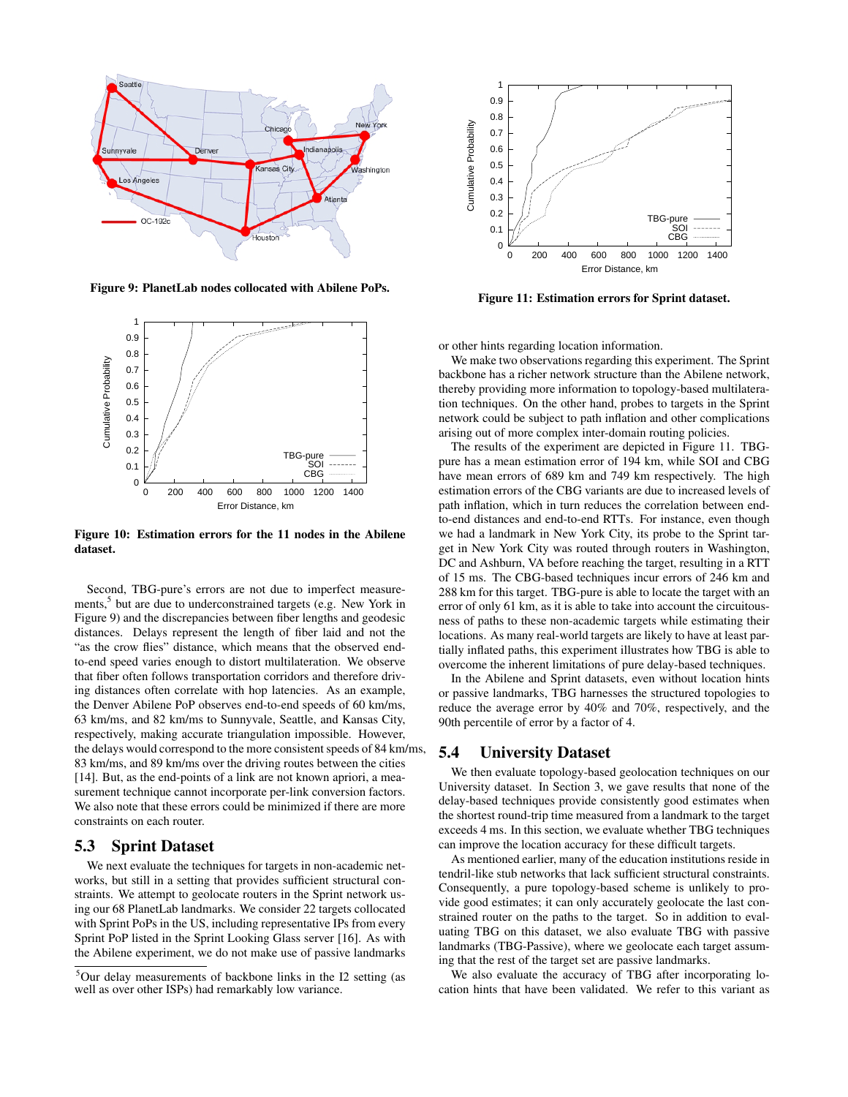

Figure 9: PlanetLab nodes collocated with Abilene PoPs.



Figure 10: Estimation errors for the 11 nodes in the Abilene dataset.

Second, TBG-pure's errors are not due to imperfect measurements,<sup>5</sup> but are due to underconstrained targets (e.g. New York in Figure 9) and the discrepancies between fiber lengths and geodesic distances. Delays represent the length of fiber laid and not the "as the crow flies" distance, which means that the observed endto-end speed varies enough to distort multilateration. We observe that fiber often follows transportation corridors and therefore driving distances often correlate with hop latencies. As an example, the Denver Abilene PoP observes end-to-end speeds of 60 km/ms, 63 km/ms, and 82 km/ms to Sunnyvale, Seattle, and Kansas City, respectively, making accurate triangulation impossible. However, the delays would correspond to the more consistent speeds of 84 km/ms, 83 km/ms, and 89 km/ms over the driving routes between the cities [14]. But, as the end-points of a link are not known apriori, a measurement technique cannot incorporate per-link conversion factors. We also note that these errors could be minimized if there are more constraints on each router.

## 5.3 Sprint Dataset

We next evaluate the techniques for targets in non-academic networks, but still in a setting that provides sufficient structural constraints. We attempt to geolocate routers in the Sprint network using our 68 PlanetLab landmarks. We consider 22 targets collocated with Sprint PoPs in the US, including representative IPs from every Sprint PoP listed in the Sprint Looking Glass server [16]. As with the Abilene experiment, we do not make use of passive landmarks



Figure 11: Estimation errors for Sprint dataset.

or other hints regarding location information.

We make two observations regarding this experiment. The Sprint backbone has a richer network structure than the Abilene network, thereby providing more information to topology-based multilateration techniques. On the other hand, probes to targets in the Sprint network could be subject to path inflation and other complications arising out of more complex inter-domain routing policies.

The results of the experiment are depicted in Figure 11. TBGpure has a mean estimation error of 194 km, while SOI and CBG have mean errors of 689 km and 749 km respectively. The high estimation errors of the CBG variants are due to increased levels of path inflation, which in turn reduces the correlation between endto-end distances and end-to-end RTTs. For instance, even though we had a landmark in New York City, its probe to the Sprint target in New York City was routed through routers in Washington, DC and Ashburn, VA before reaching the target, resulting in a RTT of 15 ms. The CBG-based techniques incur errors of 246 km and 288 km for this target. TBG-pure is able to locate the target with an error of only 61 km, as it is able to take into account the circuitousness of paths to these non-academic targets while estimating their locations. As many real-world targets are likely to have at least partially inflated paths, this experiment illustrates how TBG is able to overcome the inherent limitations of pure delay-based techniques.

In the Abilene and Sprint datasets, even without location hints or passive landmarks, TBG harnesses the structured topologies to reduce the average error by 40% and 70%, respectively, and the 90th percentile of error by a factor of 4.

## 5.4 University Dataset

We then evaluate topology-based geolocation techniques on our University dataset. In Section 3, we gave results that none of the delay-based techniques provide consistently good estimates when the shortest round-trip time measured from a landmark to the target exceeds 4 ms. In this section, we evaluate whether TBG techniques can improve the location accuracy for these difficult targets.

As mentioned earlier, many of the education institutions reside in tendril-like stub networks that lack sufficient structural constraints. Consequently, a pure topology-based scheme is unlikely to provide good estimates; it can only accurately geolocate the last constrained router on the paths to the target. So in addition to evaluating TBG on this dataset, we also evaluate TBG with passive landmarks (TBG-Passive), where we geolocate each target assuming that the rest of the target set are passive landmarks.

We also evaluate the accuracy of TBG after incorporating location hints that have been validated. We refer to this variant as

<sup>&</sup>lt;sup>5</sup>Our delay measurements of backbone links in the I2 setting (as well as over other ISPs) had remarkably low variance.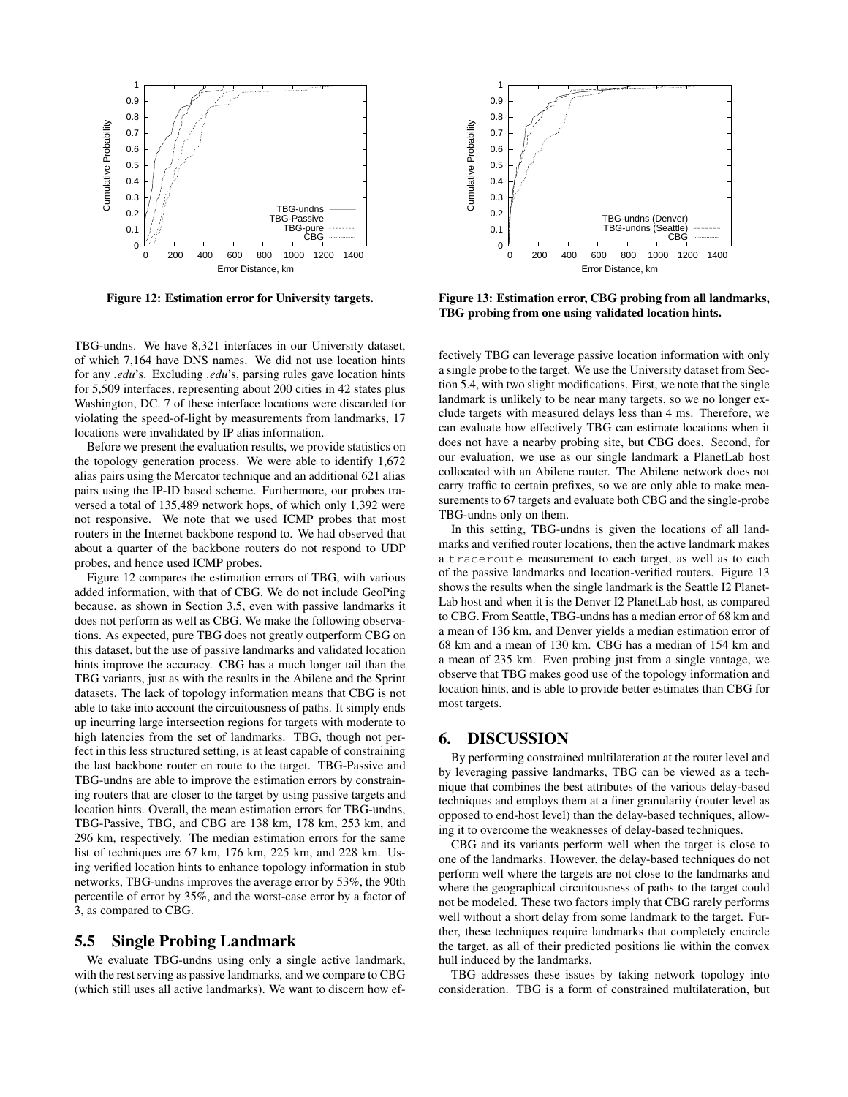

Figure 12: Estimation error for University targets.

TBG-undns. We have 8,321 interfaces in our University dataset, of which 7,164 have DNS names. We did not use location hints for any *.edu*'s. Excluding *.edu*'s, parsing rules gave location hints for 5,509 interfaces, representing about 200 cities in 42 states plus Washington, DC. 7 of these interface locations were discarded for violating the speed-of-light by measurements from landmarks, 17 locations were invalidated by IP alias information.

Before we present the evaluation results, we provide statistics on the topology generation process. We were able to identify 1,672 alias pairs using the Mercator technique and an additional 621 alias pairs using the IP-ID based scheme. Furthermore, our probes traversed a total of 135,489 network hops, of which only 1,392 were not responsive. We note that we used ICMP probes that most routers in the Internet backbone respond to. We had observed that about a quarter of the backbone routers do not respond to UDP probes, and hence used ICMP probes.

Figure 12 compares the estimation errors of TBG, with various added information, with that of CBG. We do not include GeoPing because, as shown in Section 3.5, even with passive landmarks it does not perform as well as CBG. We make the following observations. As expected, pure TBG does not greatly outperform CBG on this dataset, but the use of passive landmarks and validated location hints improve the accuracy. CBG has a much longer tail than the TBG variants, just as with the results in the Abilene and the Sprint datasets. The lack of topology information means that CBG is not able to take into account the circuitousness of paths. It simply ends up incurring large intersection regions for targets with moderate to high latencies from the set of landmarks. TBG, though not perfect in this less structured setting, is at least capable of constraining the last backbone router en route to the target. TBG-Passive and TBG-undns are able to improve the estimation errors by constraining routers that are closer to the target by using passive targets and location hints. Overall, the mean estimation errors for TBG-undns, TBG-Passive, TBG, and CBG are 138 km, 178 km, 253 km, and 296 km, respectively. The median estimation errors for the same list of techniques are 67 km, 176 km, 225 km, and 228 km. Using verified location hints to enhance topology information in stub networks, TBG-undns improves the average error by 53%, the 90th percentile of error by 35%, and the worst-case error by a factor of 3, as compared to CBG.

#### 5.5 Single Probing Landmark

We evaluate TBG-undns using only a single active landmark, with the rest serving as passive landmarks, and we compare to CBG (which still uses all active landmarks). We want to discern how ef-



Figure 13: Estimation error, CBG probing from all landmarks, TBG probing from one using validated location hints.

fectively TBG can leverage passive location information with only a single probe to the target. We use the University dataset from Section 5.4, with two slight modifications. First, we note that the single landmark is unlikely to be near many targets, so we no longer exclude targets with measured delays less than 4 ms. Therefore, we can evaluate how effectively TBG can estimate locations when it does not have a nearby probing site, but CBG does. Second, for our evaluation, we use as our single landmark a PlanetLab host collocated with an Abilene router. The Abilene network does not carry traffic to certain prefixes, so we are only able to make measurements to 67 targets and evaluate both CBG and the single-probe TBG-undns only on them.

In this setting, TBG-undns is given the locations of all landmarks and verified router locations, then the active landmark makes a traceroute measurement to each target, as well as to each of the passive landmarks and location-verified routers. Figure 13 shows the results when the single landmark is the Seattle I2 Planet-Lab host and when it is the Denver I2 PlanetLab host, as compared to CBG. From Seattle, TBG-undns has a median error of 68 km and a mean of 136 km, and Denver yields a median estimation error of 68 km and a mean of 130 km. CBG has a median of 154 km and a mean of 235 km. Even probing just from a single vantage, we observe that TBG makes good use of the topology information and location hints, and is able to provide better estimates than CBG for most targets.

#### 6. DISCUSSION

By performing constrained multilateration at the router level and by leveraging passive landmarks, TBG can be viewed as a technique that combines the best attributes of the various delay-based techniques and employs them at a finer granularity (router level as opposed to end-host level) than the delay-based techniques, allowing it to overcome the weaknesses of delay-based techniques.

CBG and its variants perform well when the target is close to one of the landmarks. However, the delay-based techniques do not perform well where the targets are not close to the landmarks and where the geographical circuitousness of paths to the target could not be modeled. These two factors imply that CBG rarely performs well without a short delay from some landmark to the target. Further, these techniques require landmarks that completely encircle the target, as all of their predicted positions lie within the convex hull induced by the landmarks.

TBG addresses these issues by taking network topology into consideration. TBG is a form of constrained multilateration, but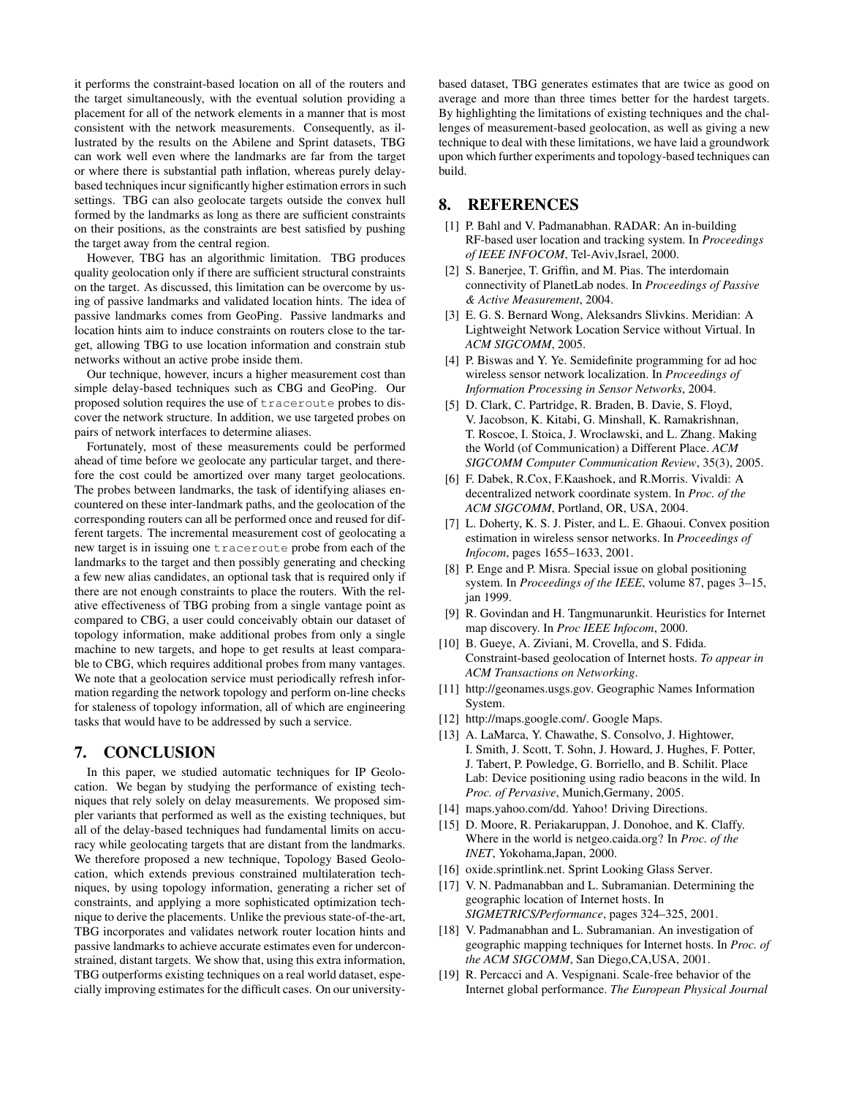it performs the constraint-based location on all of the routers and the target simultaneously, with the eventual solution providing a placement for all of the network elements in a manner that is most consistent with the network measurements. Consequently, as illustrated by the results on the Abilene and Sprint datasets, TBG can work well even where the landmarks are far from the target or where there is substantial path inflation, whereas purely delaybased techniques incur significantly higher estimation errors in such settings. TBG can also geolocate targets outside the convex hull formed by the landmarks as long as there are sufficient constraints on their positions, as the constraints are best satisfied by pushing the target away from the central region.

However, TBG has an algorithmic limitation. TBG produces quality geolocation only if there are sufficient structural constraints on the target. As discussed, this limitation can be overcome by using of passive landmarks and validated location hints. The idea of passive landmarks comes from GeoPing. Passive landmarks and location hints aim to induce constraints on routers close to the target, allowing TBG to use location information and constrain stub networks without an active probe inside them.

Our technique, however, incurs a higher measurement cost than simple delay-based techniques such as CBG and GeoPing. Our proposed solution requires the use of traceroute probes to discover the network structure. In addition, we use targeted probes on pairs of network interfaces to determine aliases.

Fortunately, most of these measurements could be performed ahead of time before we geolocate any particular target, and therefore the cost could be amortized over many target geolocations. The probes between landmarks, the task of identifying aliases encountered on these inter-landmark paths, and the geolocation of the corresponding routers can all be performed once and reused for different targets. The incremental measurement cost of geolocating a new target is in issuing one traceroute probe from each of the landmarks to the target and then possibly generating and checking a few new alias candidates, an optional task that is required only if there are not enough constraints to place the routers. With the relative effectiveness of TBG probing from a single vantage point as compared to CBG, a user could conceivably obtain our dataset of topology information, make additional probes from only a single machine to new targets, and hope to get results at least comparable to CBG, which requires additional probes from many vantages. We note that a geolocation service must periodically refresh information regarding the network topology and perform on-line checks for staleness of topology information, all of which are engineering tasks that would have to be addressed by such a service.

## 7. CONCLUSION

In this paper, we studied automatic techniques for IP Geolocation. We began by studying the performance of existing techniques that rely solely on delay measurements. We proposed simpler variants that performed as well as the existing techniques, but all of the delay-based techniques had fundamental limits on accuracy while geolocating targets that are distant from the landmarks. We therefore proposed a new technique, Topology Based Geolocation, which extends previous constrained multilateration techniques, by using topology information, generating a richer set of constraints, and applying a more sophisticated optimization technique to derive the placements. Unlike the previous state-of-the-art, TBG incorporates and validates network router location hints and passive landmarks to achieve accurate estimates even for underconstrained, distant targets. We show that, using this extra information, TBG outperforms existing techniques on a real world dataset, especially improving estimates for the difficult cases. On our universitybased dataset, TBG generates estimates that are twice as good on average and more than three times better for the hardest targets. By highlighting the limitations of existing techniques and the challenges of measurement-based geolocation, as well as giving a new technique to deal with these limitations, we have laid a groundwork upon which further experiments and topology-based techniques can build.

# 8. REFERENCES

- [1] P. Bahl and V. Padmanabhan. RADAR: An in-building RF-based user location and tracking system. In *Proceedings of IEEE INFOCOM*, Tel-Aviv,Israel, 2000.
- [2] S. Banerjee, T. Griffin, and M. Pias. The interdomain connectivity of PlanetLab nodes. In *Proceedings of Passive & Active Measurement*, 2004.
- [3] E. G. S. Bernard Wong, Aleksandrs Slivkins. Meridian: A Lightweight Network Location Service without Virtual. In *ACM SIGCOMM*, 2005.
- [4] P. Biswas and Y. Ye. Semidefinite programming for ad hoc wireless sensor network localization. In *Proceedings of Information Processing in Sensor Networks*, 2004.
- [5] D. Clark, C. Partridge, R. Braden, B. Davie, S. Floyd, V. Jacobson, K. Kitabi, G. Minshall, K. Ramakrishnan, T. Roscoe, I. Stoica, J. Wroclawski, and L. Zhang. Making the World (of Communication) a Different Place. *ACM SIGCOMM Computer Communication Review*, 35(3), 2005.
- [6] F. Dabek, R.Cox, F.Kaashoek, and R.Morris. Vivaldi: A decentralized network coordinate system. In *Proc. of the ACM SIGCOMM*, Portland, OR, USA, 2004.
- [7] L. Doherty, K. S. J. Pister, and L. E. Ghaoui. Convex position estimation in wireless sensor networks. In *Proceedings of Infocom*, pages 1655–1633, 2001.
- [8] P. Enge and P. Misra. Special issue on global positioning system. In *Proceedings of the IEEE*, volume 87, pages 3–15, jan 1999.
- [9] R. Govindan and H. Tangmunarunkit. Heuristics for Internet map discovery. In *Proc IEEE Infocom*, 2000.
- [10] B. Gueye, A. Ziviani, M. Crovella, and S. Fdida. Constraint-based geolocation of Internet hosts. *To appear in ACM Transactions on Networking*.
- [11] http://geonames.usgs.gov. Geographic Names Information System.
- [12] http://maps.google.com/. Google Maps.
- [13] A. LaMarca, Y. Chawathe, S. Consolvo, J. Hightower, I. Smith, J. Scott, T. Sohn, J. Howard, J. Hughes, F. Potter, J. Tabert, P. Powledge, G. Borriello, and B. Schilit. Place Lab: Device positioning using radio beacons in the wild. In *Proc. of Pervasive*, Munich,Germany, 2005.
- [14] maps.yahoo.com/dd. Yahoo! Driving Directions.
- [15] D. Moore, R. Periakaruppan, J. Donohoe, and K. Claffy. Where in the world is netgeo.caida.org? In *Proc. of the INET*, Yokohama,Japan, 2000.
- [16] oxide.sprintlink.net. Sprint Looking Glass Server.
- [17] V. N. Padmanabban and L. Subramanian. Determining the geographic location of Internet hosts. In *SIGMETRICS/Performance*, pages 324–325, 2001.
- [18] V. Padmanabhan and L. Subramanian. An investigation of geographic mapping techniques for Internet hosts. In *Proc. of the ACM SIGCOMM*, San Diego,CA,USA, 2001.
- [19] R. Percacci and A. Vespignani. Scale-free behavior of the Internet global performance. *The European Physical Journal*